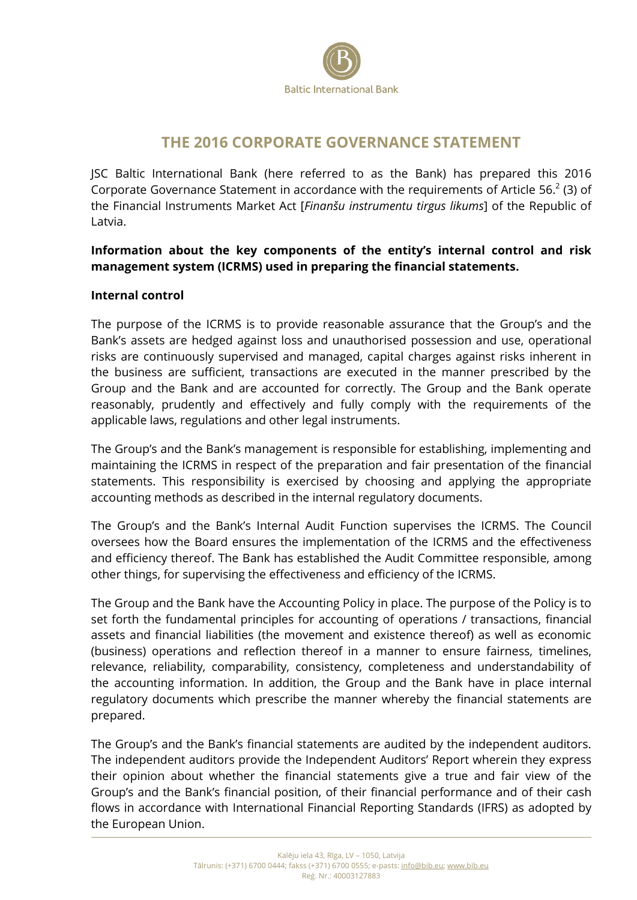

## **THE 2016 CORPORATE GOVERNANCE STATEMENT**

JSC Baltic International Bank (here referred to as the Bank) has prepared this 2016 Corporate Governance Statement in accordance with the requirements of Article 56. $2$  (3) of the Financial Instruments Market Act [*Finanšu instrumentu tirgus likums*] of the Republic of Latvia.

**Information about the key components of the entity's internal control and risk management system (ICRMS) used in preparing the financial statements.** 

## **Internal control**

The purpose of the ICRMS is to provide reasonable assurance that the Group's and the Bank's assets are hedged against loss and unauthorised possession and use, operational risks are continuously supervised and managed, capital charges against risks inherent in the business are sufficient, transactions are executed in the manner prescribed by the Group and the Bank and are accounted for correctly. The Group and the Bank operate reasonably, prudently and effectively and fully comply with the requirements of the applicable laws, regulations and other legal instruments.

The Group's and the Bank's management is responsible for establishing, implementing and maintaining the ICRMS in respect of the preparation and fair presentation of the financial statements. This responsibility is exercised by choosing and applying the appropriate accounting methods as described in the internal regulatory documents.

The Group's and the Bank's Internal Audit Function supervises the ICRMS. The Council oversees how the Board ensures the implementation of the ICRMS and the effectiveness and efficiency thereof. The Bank has established the Audit Committee responsible, among other things, for supervising the effectiveness and efficiency of the ICRMS.

The Group and the Bank have the Accounting Policy in place. The purpose of the Policy is to set forth the fundamental principles for accounting of operations / transactions, financial assets and financial liabilities (the movement and existence thereof) as well as economic (business) operations and reflection thereof in a manner to ensure fairness, timelines, relevance, reliability, comparability, consistency, completeness and understandability of the accounting information. In addition, the Group and the Bank have in place internal regulatory documents which prescribe the manner whereby the financial statements are prepared.

The Group's and the Bank's financial statements are audited by the independent auditors. The independent auditors provide the Independent Auditors' Report wherein they express their opinion about whether the financial statements give a true and fair view of the Group's and the Bank's financial position, of their financial performance and of their cash flows in accordance with International Financial Reporting Standards (IFRS) as adopted by the European Union.